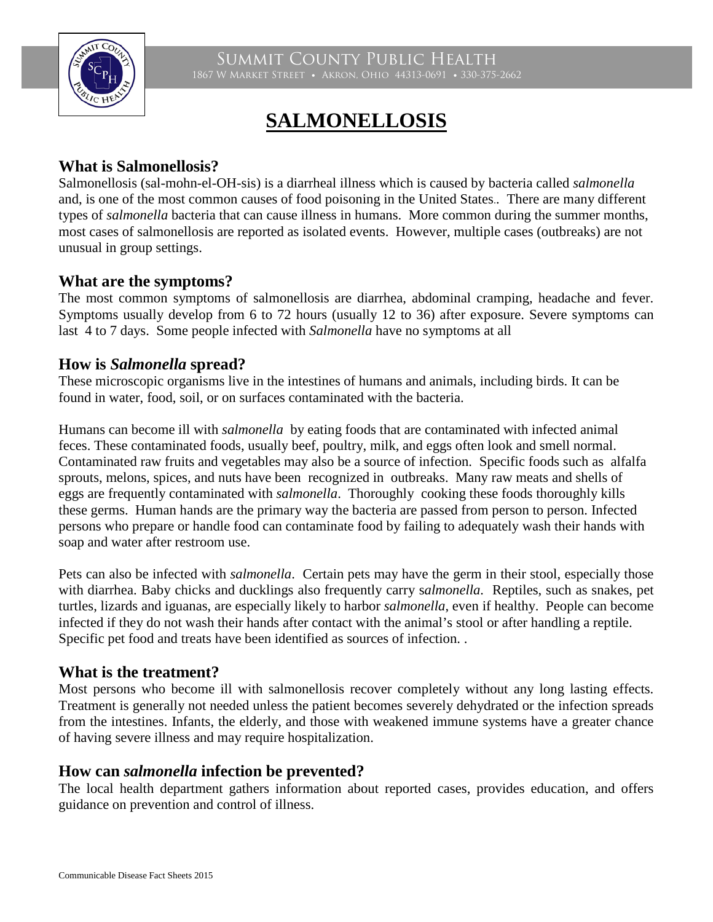

Summit County Public Health 1867 W Market Street • Akron, Ohio 44313-0691 • 330-375-2662

# **SALMONELLOSIS**

#### **What is Salmonellosis?**

Salmonellosis (sal-mohn-el-OH-sis) is a diarrheal illness which is caused by bacteria called *salmonella* and, is one of the most common causes of food poisoning in the United States.*.* There are many different types of *salmonella* bacteria that can cause illness in humans. More common during the summer months, most cases of salmonellosis are reported as isolated events. However, multiple cases (outbreaks) are not unusual in group settings.

### **What are the symptoms?**

The most common symptoms of salmonellosis are diarrhea, abdominal cramping, headache and fever. Symptoms usually develop from 6 to 72 hours (usually 12 to 36) after exposure. Severe symptoms can last 4 to 7 days. Some people infected with *Salmonella* have no symptoms at all

#### **How is** *Salmonella* **spread?**

These microscopic organisms live in the intestines of humans and animals, including birds. It can be found in water, food, soil, or on surfaces contaminated with the bacteria.

Humans can become ill with *salmonella* by eating foods that are contaminated with infected animal feces. These contaminated foods, usually beef, poultry, milk, and eggs often look and smell normal. Contaminated raw fruits and vegetables may also be a source of infection. Specific foods such as alfalfa sprouts, melons, spices, and nuts have been recognized in outbreaks. Many raw meats and shells of eggs are frequently contaminated with *salmonella*. Thoroughly cooking these foods thoroughly kills these germs. Human hands are the primary way the bacteria are passed from person to person. Infected persons who prepare or handle food can contaminate food by failing to adequately wash their hands with soap and water after restroom use.

Pets can also be infected with *salmonella*. Certain pets may have the germ in their stool, especially those with diarrhea. Baby chicks and ducklings also frequently carry s*almonella.* Reptiles, such as snakes, pet turtles, lizards and iguanas, are especially likely to harbor *salmonella*, even if healthy. People can become infected if they do not wash their hands after contact with the animal's stool or after handling a reptile. Specific pet food and treats have been identified as sources of infection. .

#### **What is the treatment?**

Most persons who become ill with salmonellosis recover completely without any long lasting effects. Treatment is generally not needed unless the patient becomes severely dehydrated or the infection spreads from the intestines. Infants, the elderly, and those with weakened immune systems have a greater chance of having severe illness and may require hospitalization.

#### **How can** *salmonella* **infection be prevented?**

The local health department gathers information about reported cases, provides education, and offers guidance on prevention and control of illness.